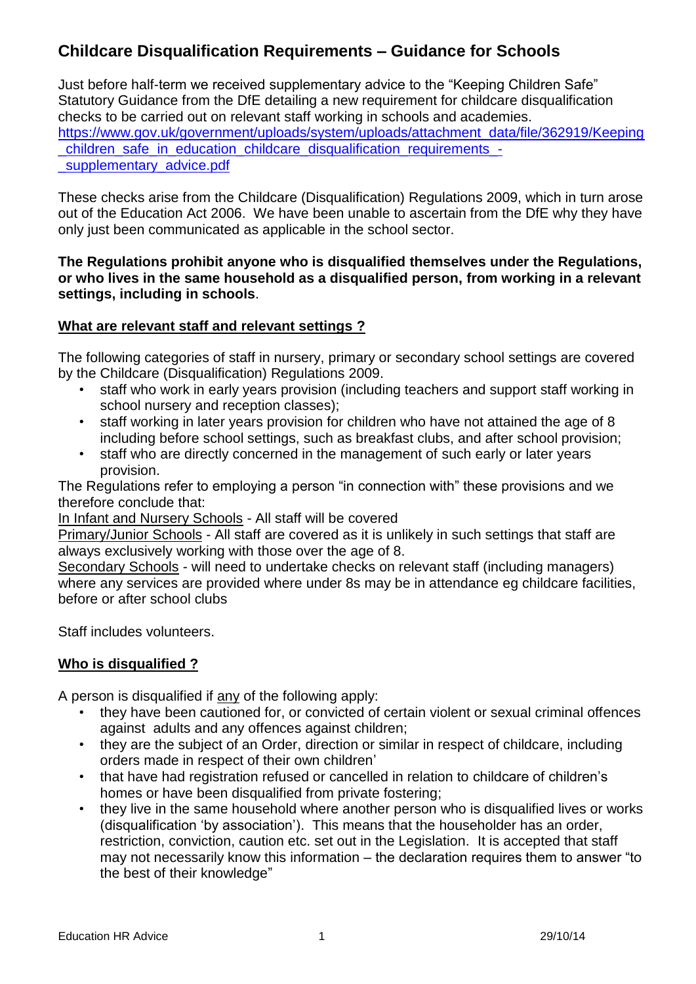# **Childcare Disqualification Requirements – Guidance for Schools**

Just before half-term we received supplementary advice to the "Keeping Children Safe" Statutory Guidance from the DfE detailing a new requirement for childcare disqualification checks to be carried out on relevant staff working in schools and academies. [https://www.gov.uk/government/uploads/system/uploads/attachment\\_data/file/362919/Keeping](https://www.gov.uk/government/uploads/system/uploads/attachment_data/file/362919/Keeping_children_safe_in_education_childcare_disqualification_requirements_-_supplementary_advice.pdf) children\_safe\_in\_education\_childcare\_disqualification\_requirements\_supplementary advice.pdf

These checks arise from the Childcare (Disqualification) Regulations 2009, which in turn arose out of the Education Act 2006. We have been unable to ascertain from the DfE why they have only just been communicated as applicable in the school sector.

#### **The Regulations prohibit anyone who is disqualified themselves under the Regulations, or who lives in the same household as a disqualified person, from working in a relevant settings, including in schools**.

# **What are relevant staff and relevant settings ?**

The following categories of staff in nursery, primary or secondary school settings are covered by the Childcare (Disqualification) Regulations 2009.

- staff who work in early years provision (including teachers and support staff working in school nursery and reception classes);
- staff working in later years provision for children who have not attained the age of 8 including before school settings, such as breakfast clubs, and after school provision;
- staff who are directly concerned in the management of such early or later years provision.

The Regulations refer to employing a person "in connection with" these provisions and we therefore conclude that:

In Infant and Nursery Schools - All staff will be covered

Primary/Junior Schools - All staff are covered as it is unlikely in such settings that staff are always exclusively working with those over the age of 8.

Secondary Schools - will need to undertake checks on relevant staff (including managers) where any services are provided where under 8s may be in attendance eg childcare facilities, before or after school clubs

Staff includes volunteers.

# **Who is disqualified ?**

A person is disqualified if any of the following apply:

- they have been cautioned for, or convicted of certain violent or sexual criminal offences against adults and any offences against children;
- they are the subject of an Order, direction or similar in respect of childcare, including orders made in respect of their own children'
- that have had registration refused or cancelled in relation to childcare of children's homes or have been disqualified from private fostering:
- they live in the same household where another person who is disqualified lives or works (disqualification 'by association'). This means that the householder has an order, restriction, conviction, caution etc. set out in the Legislation. It is accepted that staff may not necessarily know this information – the declaration requires them to answer "to the best of their knowledge"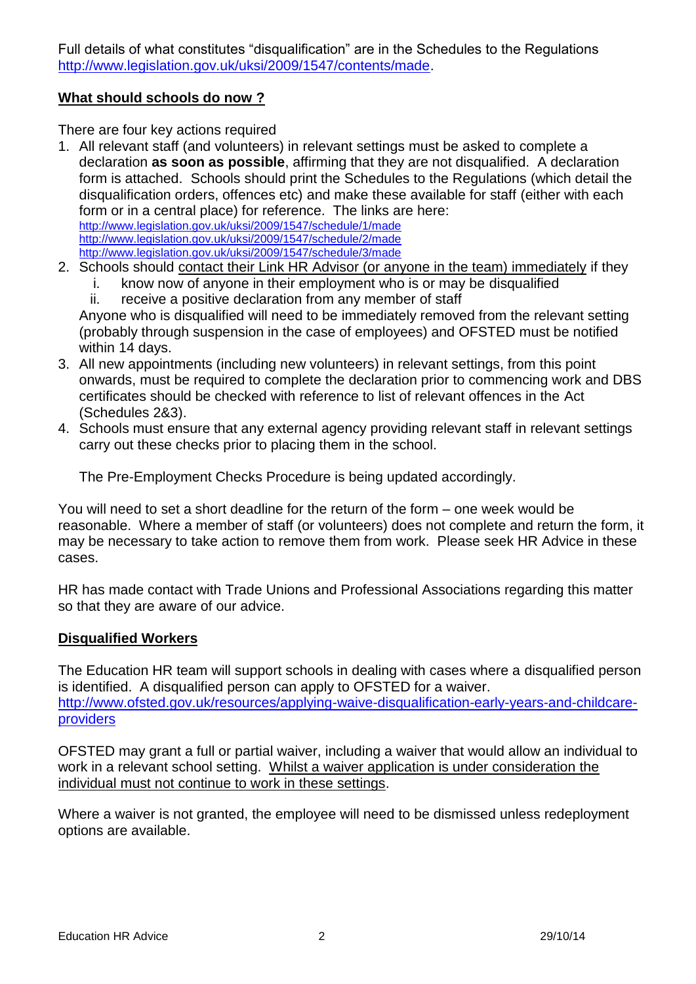Full details of what constitutes "disqualification" are in the Schedules to the Regulations [http://www.legislation.gov.uk/uksi/2009/1547/contents/made.](http://www.legislation.gov.uk/uksi/2009/1547/contents/made)

## **What should schools do now ?**

There are four key actions required

1. All relevant staff (and volunteers) in relevant settings must be asked to complete a declaration **as soon as possible**, affirming that they are not disqualified. A declaration form is attached. Schools should print the Schedules to the Regulations (which detail the disqualification orders, offences etc) and make these available for staff (either with each form or in a central place) for reference. The links are here: <http://www.legislation.gov.uk/uksi/2009/1547/schedule/1/made>

<http://www.legislation.gov.uk/uksi/2009/1547/schedule/2/made> <http://www.legislation.gov.uk/uksi/2009/1547/schedule/3/made>

- 2. Schools should contact their Link HR Advisor (or anyone in the team) immediately if they
	- i. know now of anyone in their employment who is or may be disqualified
	- ii. receive a positive declaration from any member of staff

Anyone who is disqualified will need to be immediately removed from the relevant setting (probably through suspension in the case of employees) and OFSTED must be notified within 14 days.

- 3. All new appointments (including new volunteers) in relevant settings, from this point onwards, must be required to complete the declaration prior to commencing work and DBS certificates should be checked with reference to list of relevant offences in the Act (Schedules 2&3).
- 4. Schools must ensure that any external agency providing relevant staff in relevant settings carry out these checks prior to placing them in the school.

The Pre-Employment Checks Procedure is being updated accordingly.

You will need to set a short deadline for the return of the form – one week would be reasonable. Where a member of staff (or volunteers) does not complete and return the form, it may be necessary to take action to remove them from work. Please seek HR Advice in these cases.

HR has made contact with Trade Unions and Professional Associations regarding this matter so that they are aware of our advice.

# **Disqualified Workers**

The Education HR team will support schools in dealing with cases where a disqualified person is identified. A disqualified person can apply to OFSTED for a waiver. [http://www.ofsted.gov.uk/resources/applying-waive-disqualification-early-years-and-childcare](http://www.ofsted.gov.uk/resources/applying-waive-disqualification-early-years-and-childcare-providers)[providers](http://www.ofsted.gov.uk/resources/applying-waive-disqualification-early-years-and-childcare-providers)

OFSTED may grant a full or partial waiver, including a waiver that would allow an individual to work in a relevant school setting. Whilst a waiver application is under consideration the individual must not continue to work in these settings.

Where a waiver is not granted, the employee will need to be dismissed unless redeployment options are available.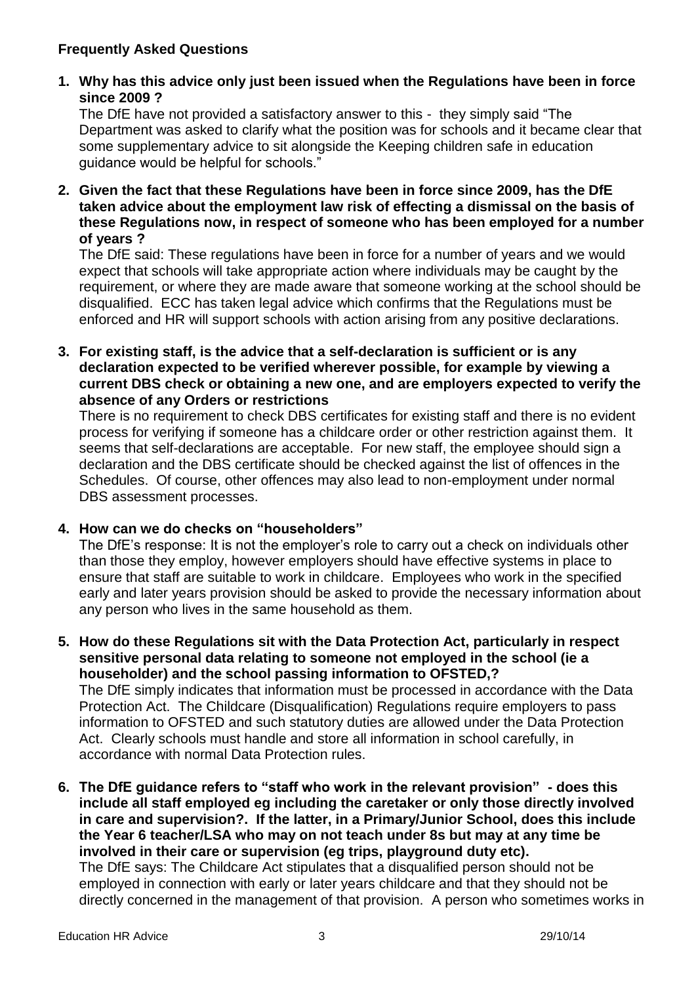# **Frequently Asked Questions**

## **1. Why has this advice only just been issued when the Regulations have been in force since 2009 ?**

The DfE have not provided a satisfactory answer to this - they simply said "The Department was asked to clarify what the position was for schools and it became clear that some supplementary advice to sit alongside the Keeping children safe in education guidance would be helpful for schools."

**2. Given the fact that these Regulations have been in force since 2009, has the DfE taken advice about the employment law risk of effecting a dismissal on the basis of these Regulations now, in respect of someone who has been employed for a number of years ?**

The DfE said: These regulations have been in force for a number of years and we would expect that schools will take appropriate action where individuals may be caught by the requirement, or where they are made aware that someone working at the school should be disqualified. ECC has taken legal advice which confirms that the Regulations must be enforced and HR will support schools with action arising from any positive declarations.

**3. For existing staff, is the advice that a self-declaration is sufficient or is any declaration expected to be verified wherever possible, for example by viewing a current DBS check or obtaining a new one, and are employers expected to verify the absence of any Orders or restrictions**

There is no requirement to check DBS certificates for existing staff and there is no evident process for verifying if someone has a childcare order or other restriction against them. It seems that self-declarations are acceptable. For new staff, the employee should sign a declaration and the DBS certificate should be checked against the list of offences in the Schedules. Of course, other offences may also lead to non-employment under normal DBS assessment processes.

#### **4. How can we do checks on "householders"**

The DfE's response: It is not the employer's role to carry out a check on individuals other than those they employ, however employers should have effective systems in place to ensure that staff are suitable to work in childcare. Employees who work in the specified early and later years provision should be asked to provide the necessary information about any person who lives in the same household as them.

- **5. How do these Regulations sit with the Data Protection Act, particularly in respect sensitive personal data relating to someone not employed in the school (ie a householder) and the school passing information to OFSTED,?** The DfE simply indicates that information must be processed in accordance with the Data Protection Act. The Childcare (Disqualification) Regulations require employers to pass information to OFSTED and such statutory duties are allowed under the Data Protection Act. Clearly schools must handle and store all information in school carefully, in accordance with normal Data Protection rules.
- **6. The DfE guidance refers to "staff who work in the relevant provision" - does this include all staff employed eg including the caretaker or only those directly involved in care and supervision?. If the latter, in a Primary/Junior School, does this include the Year 6 teacher/LSA who may on not teach under 8s but may at any time be involved in their care or supervision (eg trips, playground duty etc).**  The DfE says: The Childcare Act stipulates that a disqualified person should not be employed in connection with early or later years childcare and that they should not be directly concerned in the management of that provision. A person who sometimes works in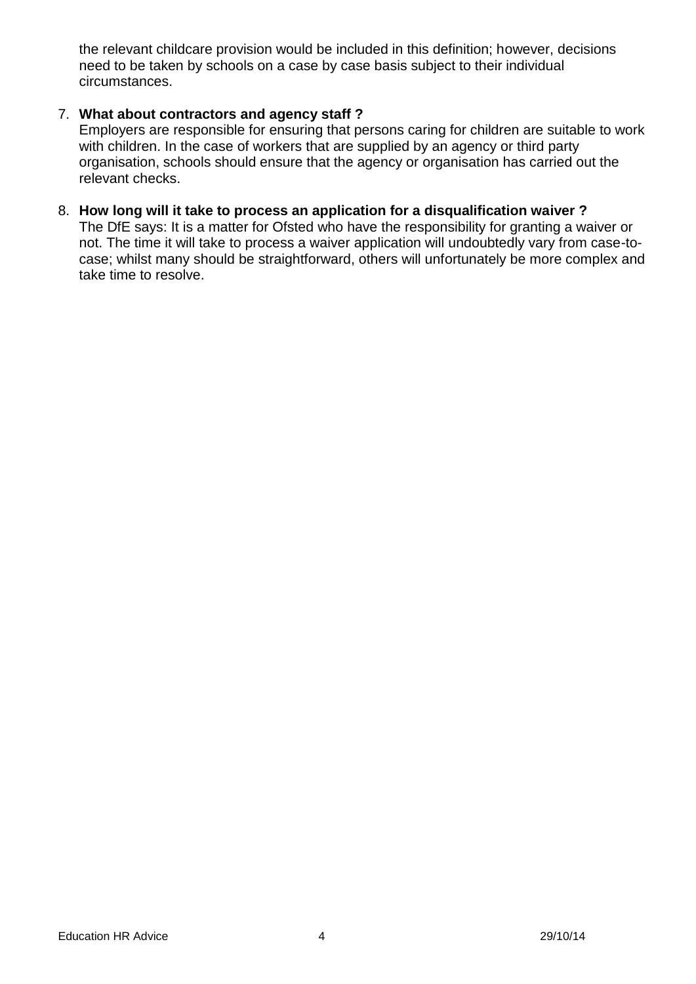the relevant childcare provision would be included in this definition; however, decisions need to be taken by schools on a case by case basis subject to their individual circumstances.

#### 7. **What about contractors and agency staff ?**

Employers are responsible for ensuring that persons caring for children are suitable to work with children. In the case of workers that are supplied by an agency or third party organisation, schools should ensure that the agency or organisation has carried out the relevant checks.

#### 8. **How long will it take to process an application for a disqualification waiver ?**

The DfE says: It is a matter for Ofsted who have the responsibility for granting a waiver or not. The time it will take to process a waiver application will undoubtedly vary from case-tocase; whilst many should be straightforward, others will unfortunately be more complex and take time to resolve.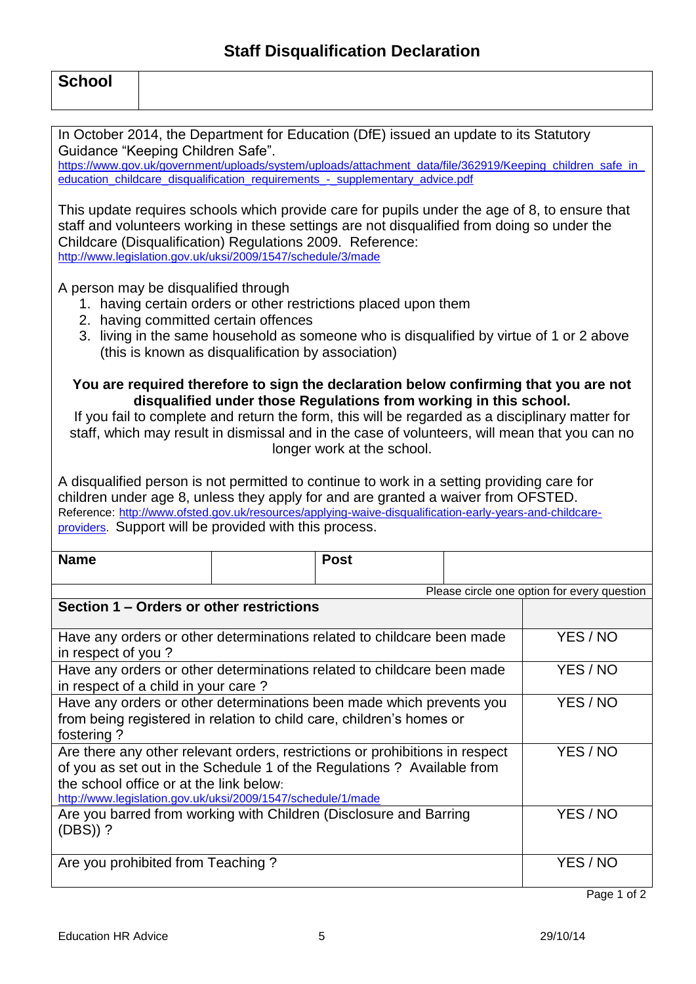| <b>School</b>                                                                                                                                                                                                                                                                                                                                                                               |             |  |                                             |  |  |
|---------------------------------------------------------------------------------------------------------------------------------------------------------------------------------------------------------------------------------------------------------------------------------------------------------------------------------------------------------------------------------------------|-------------|--|---------------------------------------------|--|--|
| In October 2014, the Department for Education (DfE) issued an update to its Statutory<br>Guidance "Keeping Children Safe".<br>https://www.gov.uk/government/uploads/system/uploads/attachment_data/file/362919/Keeping_children_safe_in_<br>education_childcare_disqualification_requirements_-_supplementary_advice.pdf                                                                    |             |  |                                             |  |  |
| This update requires schools which provide care for pupils under the age of 8, to ensure that<br>staff and volunteers working in these settings are not disqualified from doing so under the<br>Childcare (Disqualification) Regulations 2009. Reference:<br>http://www.legislation.gov.uk/uksi/2009/1547/schedule/3/made                                                                   |             |  |                                             |  |  |
| A person may be disqualified through<br>1. having certain orders or other restrictions placed upon them<br>2. having committed certain offences<br>3. living in the same household as someone who is disqualified by virtue of 1 or 2 above<br>(this is known as disqualification by association)                                                                                           |             |  |                                             |  |  |
| You are required therefore to sign the declaration below confirming that you are not<br>disqualified under those Regulations from working in this school.<br>If you fail to complete and return the form, this will be regarded as a disciplinary matter for<br>staff, which may result in dismissal and in the case of volunteers, will mean that you can no<br>longer work at the school. |             |  |                                             |  |  |
| A disqualified person is not permitted to continue to work in a setting providing care for<br>children under age 8, unless they apply for and are granted a waiver from OFSTED.<br>Reference: http://www.ofsted.gov.uk/resources/applying-waive-disqualification-early-years-and-childcare-<br>providers. Support will be provided with this process.                                       |             |  |                                             |  |  |
| <b>Name</b>                                                                                                                                                                                                                                                                                                                                                                                 | <b>Post</b> |  |                                             |  |  |
|                                                                                                                                                                                                                                                                                                                                                                                             |             |  | Please circle one option for every question |  |  |
| Section 1 - Orders or other restrictions                                                                                                                                                                                                                                                                                                                                                    |             |  |                                             |  |  |
| Have any orders or other determinations related to childcare been made<br>in respect of you?                                                                                                                                                                                                                                                                                                | YES / NO    |  |                                             |  |  |
| Have any orders or other determinations related to childcare been made<br>in respect of a child in your care?                                                                                                                                                                                                                                                                               | YES / NO    |  |                                             |  |  |
| Have any orders or other determinations been made which prevents you<br>YES / NO<br>from being registered in relation to child care, children's homes or<br>fostering?                                                                                                                                                                                                                      |             |  |                                             |  |  |
| Are there any other relevant orders, restrictions or prohibitions in respect<br>of you as set out in the Schedule 1 of the Regulations ? Available from<br>the school office or at the link below:<br>http://www.legislation.gov.uk/uksi/2009/1547/schedule/1/made                                                                                                                          |             |  | YES / NO                                    |  |  |
| Are you barred from working with Children (Disclosure and Barring<br>$(DBS)$ )?                                                                                                                                                                                                                                                                                                             | YES / NO    |  |                                             |  |  |
| Are you prohibited from Teaching?                                                                                                                                                                                                                                                                                                                                                           |             |  | YES / NO                                    |  |  |

Page 1 of 2